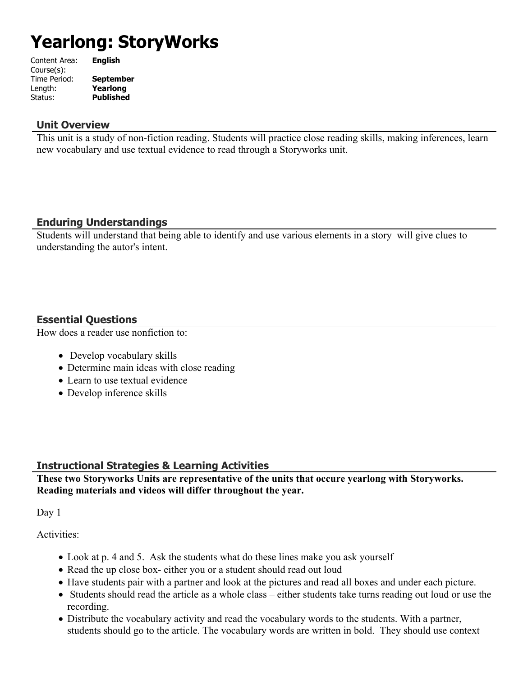# **Yearlong: StoryWorks**

| Content Area: | <b>English</b>   |
|---------------|------------------|
| Course(s):    |                  |
| Time Period:  | <b>September</b> |
| Length:       | Yearlong         |
| Status:       | <b>Published</b> |
|               |                  |

#### **Unit Overview**

This unit is a study of non-fiction reading. Students will practice close reading skills, making inferences, learn new vocabulary and use textual evidence to read through a Storyworks unit.

# **Enduring Understandings**

Students will understand that being able to identify and use various elements in a story will give clues to understanding the autor's intent.

# **Essential Questions**

How does a reader use nonfiction to:

- Develop vocabulary skills
- Determine main ideas with close reading
- Learn to use textual evidence
- Develop inference skills

# **Instructional Strategies & Learning Activities**

**These two Storyworks Units are representative of the units that occure yearlong with Storyworks. Reading materials and videos will differ throughout the year.**

Day 1

Activities:

- Look at p. 4 and 5. Ask the students what do these lines make you ask yourself
- Read the up close box- either you or a student should read out loud
- Have students pair with a partner and look at the pictures and read all boxes and under each picture.
- Students should read the article as a whole class either students take turns reading out loud or use the recording.
- Distribute the vocabulary activity and read the vocabulary words to the students. With a partner, students should go to the article. The vocabulary words are written in bold. They should use context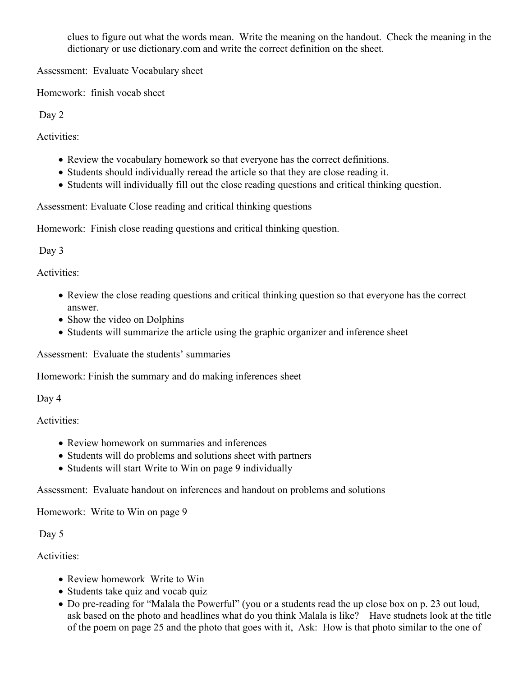clues to figure out what the words mean. Write the meaning on the handout. Check the meaning in the dictionary or use dictionary.com and write the correct definition on the sheet.

Assessment: Evaluate Vocabulary sheet

Homework: finish vocab sheet

Day 2

Activities:

- Review the vocabulary homework so that everyone has the correct definitions.
- Students should individually reread the article so that they are close reading it.
- Students will individually fill out the close reading questions and critical thinking question.

Assessment: Evaluate Close reading and critical thinking questions

Homework: Finish close reading questions and critical thinking question.

Day 3

Activities:

- Review the close reading questions and critical thinking question so that everyone has the correct answer.
- Show the video on Dolphins
- Students will summarize the article using the graphic organizer and inference sheet

Assessment: Evaluate the students' summaries

Homework: Finish the summary and do making inferences sheet

Day 4

Activities:

- Review homework on summaries and inferences
- Students will do problems and solutions sheet with partners
- Students will start Write to Win on page 9 individually

Assessment: Evaluate handout on inferences and handout on problems and solutions

Homework: Write to Win on page 9

Day 5

Activities:

- Review homework Write to Win
- Students take quiz and vocab quiz
- Do pre-reading for "Malala the Powerful" (you or a students read the up close box on p. 23 out loud, ask based on the photo and headlines what do you think Malala is like? Have studnets look at the title of the poem on page 25 and the photo that goes with it, Ask: How is that photo similar to the one of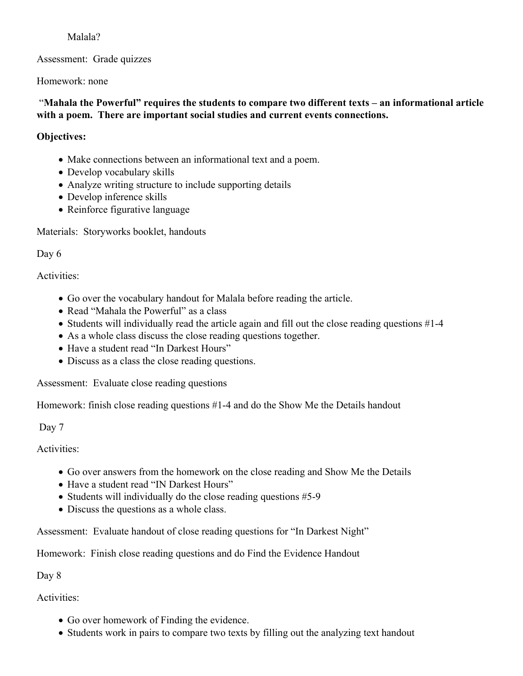#### Malala?

Assessment: Grade quizzes

Homework: none

#### "**Mahala the Powerful" requires the students to compare two different texts – an informational article with a poem. There are important social studies and current events connections.**

# **Objectives:**

- Make connections between an informational text and a poem.
- Develop vocabulary skills
- Analyze writing structure to include supporting details
- Develop inference skills
- Reinforce figurative language

Materials: Storyworks booklet, handouts

Day 6

Activities:

- Go over the vocabulary handout for Malala before reading the article.
- Read "Mahala the Powerful" as a class
- Students will individually read the article again and fill out the close reading questions #1-4
- As a whole class discuss the close reading questions together.
- Have a student read "In Darkest Hours"
- Discuss as a class the close reading questions.

Assessment: Evaluate close reading questions

Homework: finish close reading questions #1-4 and do the Show Me the Details handout

Day 7

Activities:

- Go over answers from the homework on the close reading and Show Me the Details
- Have a student read "IN Darkest Hours"
- Students will individually do the close reading questions  $#5-9$
- Discuss the questions as a whole class.

Assessment: Evaluate handout of close reading questions for "In Darkest Night"

Homework: Finish close reading questions and do Find the Evidence Handout

Day 8

Activities:

- Go over homework of Finding the evidence.
- Students work in pairs to compare two texts by filling out the analyzing text handout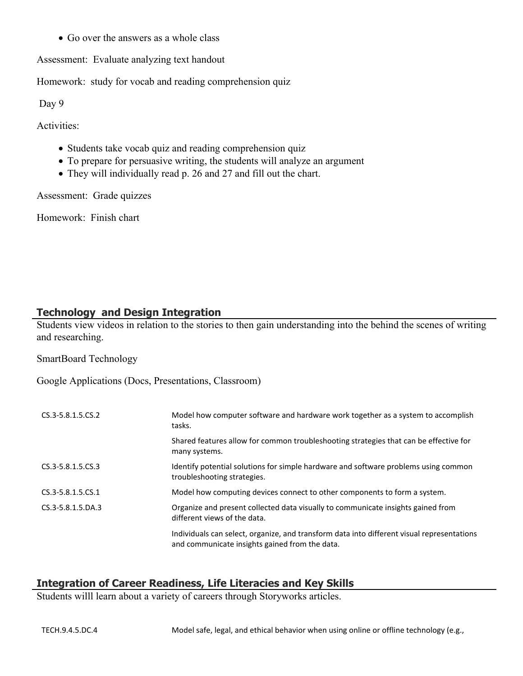• Go over the answers as a whole class

Assessment: Evaluate analyzing text handout

Homework: study for vocab and reading comprehension quiz

Day 9

Activities:

- Students take vocab quiz and reading comprehension quiz
- To prepare for persuasive writing, the students will analyze an argument
- They will individually read p. 26 and 27 and fill out the chart.

Assessment: Grade quizzes

Homework: Finish chart

#### **Technology and Design Integration**

Students view videos in relation to the stories to then gain understanding into the behind the scenes of writing and researching.

SmartBoard Technology

Google Applications (Docs, Presentations, Classroom)

| CS.3-5.8.1.5.CS.2 | Model how computer software and hardware work together as a system to accomplish<br>tasks.                                                   |
|-------------------|----------------------------------------------------------------------------------------------------------------------------------------------|
|                   | Shared features allow for common troubleshooting strategies that can be effective for<br>many systems.                                       |
| CS.3-5.8.1.5.CS.3 | Identify potential solutions for simple hardware and software problems using common<br>troubleshooting strategies.                           |
| CS.3-5.8.1.5.CS.1 | Model how computing devices connect to other components to form a system.                                                                    |
| CS.3-5.8.1.5.DA.3 | Organize and present collected data visually to communicate insights gained from<br>different views of the data.                             |
|                   | Individuals can select, organize, and transform data into different visual representations<br>and communicate insights gained from the data. |

#### **Integration of Career Readiness, Life Literacies and Key Skills**

Students willl learn about a variety of careers through Storyworks articles.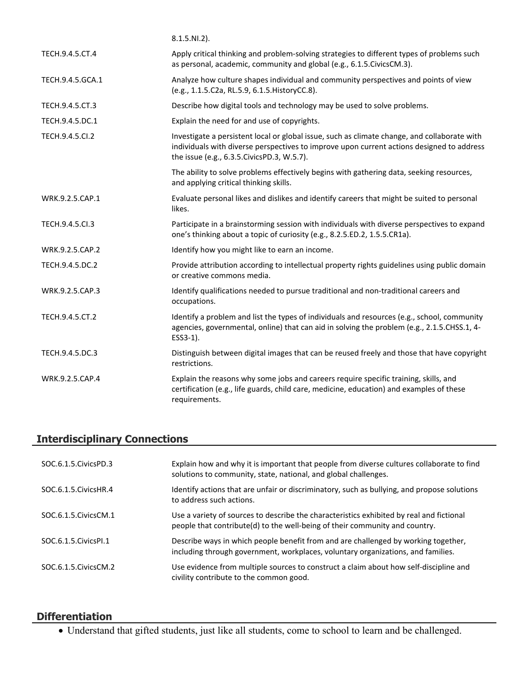|                  | $8.1.5.NI.2$ ).                                                                                                                                                                                                                           |
|------------------|-------------------------------------------------------------------------------------------------------------------------------------------------------------------------------------------------------------------------------------------|
| TECH.9.4.5.CT.4  | Apply critical thinking and problem-solving strategies to different types of problems such<br>as personal, academic, community and global (e.g., 6.1.5. Civics CM.3).                                                                     |
| TECH.9.4.5.GCA.1 | Analyze how culture shapes individual and community perspectives and points of view<br>(e.g., 1.1.5.C2a, RL.5.9, 6.1.5. HistoryCC.8).                                                                                                     |
| TECH.9.4.5.CT.3  | Describe how digital tools and technology may be used to solve problems.                                                                                                                                                                  |
| TECH.9.4.5.DC.1  | Explain the need for and use of copyrights.                                                                                                                                                                                               |
| TECH.9.4.5.Cl.2  | Investigate a persistent local or global issue, such as climate change, and collaborate with<br>individuals with diverse perspectives to improve upon current actions designed to address<br>the issue (e.g., 6.3.5. Civics PD.3, W.5.7). |
|                  | The ability to solve problems effectively begins with gathering data, seeking resources,<br>and applying critical thinking skills.                                                                                                        |
| WRK.9.2.5.CAP.1  | Evaluate personal likes and dislikes and identify careers that might be suited to personal<br>likes.                                                                                                                                      |
| TECH.9.4.5.Cl.3  | Participate in a brainstorming session with individuals with diverse perspectives to expand<br>one's thinking about a topic of curiosity (e.g., 8.2.5.ED.2, 1.5.5.CR1a).                                                                  |
| WRK.9.2.5.CAP.2  | Identify how you might like to earn an income.                                                                                                                                                                                            |
| TECH.9.4.5.DC.2  | Provide attribution according to intellectual property rights guidelines using public domain<br>or creative commons media.                                                                                                                |
| WRK.9.2.5.CAP.3  | Identify qualifications needed to pursue traditional and non-traditional careers and<br>occupations.                                                                                                                                      |
| TECH.9.4.5.CT.2  | Identify a problem and list the types of individuals and resources (e.g., school, community<br>agencies, governmental, online) that can aid in solving the problem (e.g., 2.1.5.CHSS.1, 4-<br>ESS3-1).                                    |
| TECH.9.4.5.DC.3  | Distinguish between digital images that can be reused freely and those that have copyright<br>restrictions.                                                                                                                               |
| WRK.9.2.5.CAP.4  | Explain the reasons why some jobs and careers require specific training, skills, and<br>certification (e.g., life guards, child care, medicine, education) and examples of these<br>requirements.                                         |

# **Interdisciplinary Connections**

| SOC.6.1.5. Civics PD.3 | Explain how and why it is important that people from diverse cultures collaborate to find<br>solutions to community, state, national, and global challenges.            |
|------------------------|-------------------------------------------------------------------------------------------------------------------------------------------------------------------------|
| SOC.6.1.5. Civics HR.4 | Identify actions that are unfair or discriminatory, such as bullying, and propose solutions<br>to address such actions.                                                 |
| SOC.6.1.5. Civics CM.1 | Use a variety of sources to describe the characteristics exhibited by real and fictional<br>people that contribute(d) to the well-being of their community and country. |
| SOC.6.1.5. Civics PL1  | Describe ways in which people benefit from and are challenged by working together,<br>including through government, workplaces, voluntary organizations, and families.  |
| SOC.6.1.5. Civics CM.2 | Use evidence from multiple sources to construct a claim about how self-discipline and<br>civility contribute to the common good.                                        |

# **Differentiation**

Understand that gifted students, just like all students, come to school to learn and be challenged.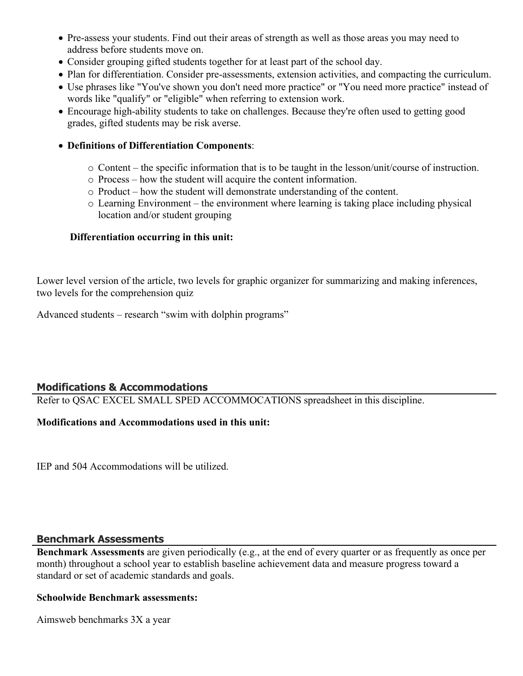- Pre-assess your students. Find out their areas of strength as well as those areas you may need to address before students move on.
- Consider grouping gifted students together for at least part of the school day.
- Plan for differentiation. Consider pre-assessments, extension activities, and compacting the curriculum.
- Use phrases like "You've shown you don't need more practice" or "You need more practice" instead of words like "qualify" or "eligible" when referring to extension work.
- Encourage high-ability students to take on challenges. Because they're often used to getting good grades, gifted students may be risk averse.

#### **Definitions of Differentiation Components**:

- o Content the specific information that is to be taught in the lesson/unit/course of instruction.
- o Process how the student will acquire the content information.
- o Product how the student will demonstrate understanding of the content.
- o Learning Environment the environment where learning is taking place including physical location and/or student grouping

#### **Differentiation occurring in this unit:**

Lower level version of the article, two levels for graphic organizer for summarizing and making inferences, two levels for the comprehension quiz

Advanced students – research "swim with dolphin programs"

# **Modifications & Accommodations**

Refer to QSAC EXCEL SMALL SPED ACCOMMOCATIONS spreadsheet in this discipline.

# **Modifications and Accommodations used in this unit:**

IEP and 504 Accommodations will be utilized.

#### **Benchmark Assessments**

**Benchmark Assessments** are given periodically (e.g., at the end of every quarter or as frequently as once per month) throughout a school year to establish baseline achievement data and measure progress toward a standard or set of academic standards and goals.

#### **Schoolwide Benchmark assessments:**

Aimsweb benchmarks 3X a year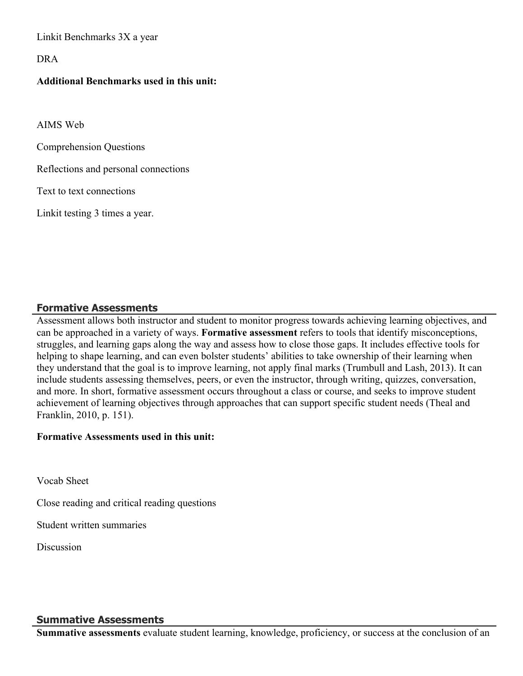Linkit Benchmarks 3X a year

DRA

#### **Additional Benchmarks used in this unit:**

AIMS Web

Comprehension Questions

Reflections and personal connections

Text to text connections

Linkit testing 3 times a year.

#### **Formative Assessments**

Assessment allows both instructor and student to monitor progress towards achieving learning objectives, and can be approached in a variety of ways. **Formative assessment** refers to tools that identify misconceptions, struggles, and learning gaps along the way and assess how to close those gaps. It includes effective tools for helping to shape learning, and can even bolster students' abilities to take ownership of their learning when they understand that the goal is to improve learning, not apply final marks (Trumbull and Lash, 2013). It can include students assessing themselves, peers, or even the instructor, through writing, quizzes, conversation, and more. In short, formative assessment occurs throughout a class or course, and seeks to improve student achievement of learning objectives through approaches that can support specific student needs (Theal and Franklin, 2010, p. 151).

#### **Formative Assessments used in this unit:**

Vocab Sheet

Close reading and critical reading questions

Student written summaries

**Discussion** 

#### **Summative Assessments**

**Summative assessments** evaluate student learning, knowledge, proficiency, or success at the conclusion of an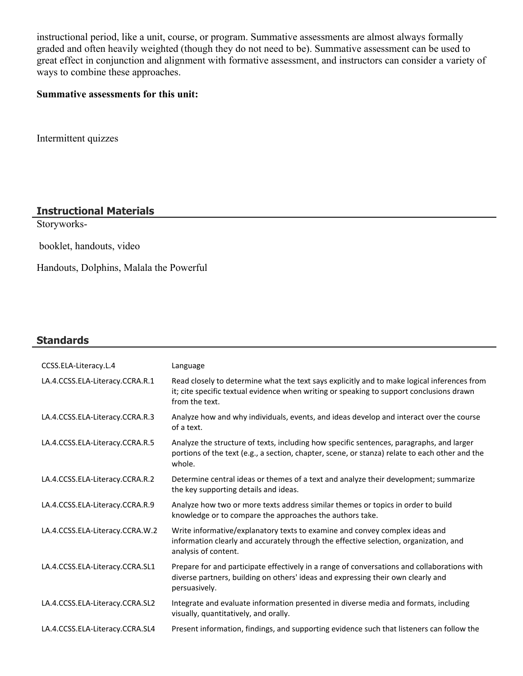instructional period, like a unit, course, or program. Summative assessments are almost always formally graded and often heavily weighted (though they do not need to be). Summative assessment can be used to great effect in conjunction and alignment with formative assessment, and instructors can consider a variety of ways to combine these approaches.

#### **Summative assessments for this unit:**

Intermittent quizzes

# **Instructional Materials**

Storyworks-

booklet, handouts, video

Handouts, Dolphins, Malala the Powerful

#### **Standards**

| CCSS.ELA-Literacy.L.4           | Language                                                                                                                                                                                                  |
|---------------------------------|-----------------------------------------------------------------------------------------------------------------------------------------------------------------------------------------------------------|
| LA.4.CCSS.ELA-Literacy.CCRA.R.1 | Read closely to determine what the text says explicitly and to make logical inferences from<br>it; cite specific textual evidence when writing or speaking to support conclusions drawn<br>from the text. |
| LA.4.CCSS.ELA-Literacy.CCRA.R.3 | Analyze how and why individuals, events, and ideas develop and interact over the course<br>of a text.                                                                                                     |
| LA.4.CCSS.ELA-Literacy.CCRA.R.5 | Analyze the structure of texts, including how specific sentences, paragraphs, and larger<br>portions of the text (e.g., a section, chapter, scene, or stanza) relate to each other and the<br>whole.      |
| LA.4.CCSS.ELA-Literacy.CCRA.R.2 | Determine central ideas or themes of a text and analyze their development; summarize<br>the key supporting details and ideas.                                                                             |
| LA.4.CCSS.ELA-Literacy.CCRA.R.9 | Analyze how two or more texts address similar themes or topics in order to build<br>knowledge or to compare the approaches the authors take.                                                              |
| LA.4.CCSS.ELA-Literacy.CCRA.W.2 | Write informative/explanatory texts to examine and convey complex ideas and<br>information clearly and accurately through the effective selection, organization, and<br>analysis of content.              |
| LA.4.CCSS.ELA-Literacy.CCRA.SL1 | Prepare for and participate effectively in a range of conversations and collaborations with<br>diverse partners, building on others' ideas and expressing their own clearly and<br>persuasively.          |
| LA.4.CCSS.ELA-Literacy.CCRA.SL2 | Integrate and evaluate information presented in diverse media and formats, including<br>visually, quantitatively, and orally.                                                                             |
| LA.4.CCSS.ELA-Literacy.CCRA.SL4 | Present information, findings, and supporting evidence such that listeners can follow the                                                                                                                 |